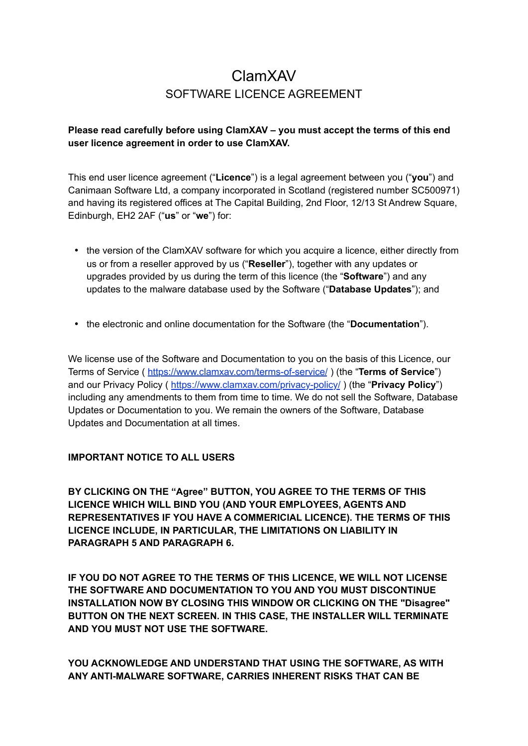# ClamXAV SOFTWARE LICENCE AGREEMENT

# **Please read carefully before using ClamXAV – you must accept the terms of this end user licence agreement in order to use ClamXAV.**

This end user licence agreement ("**Licence**") is a legal agreement between you ("**you**") and Canimaan Software Ltd, a company incorporated in Scotland (registered number SC500971) and having its registered offices at The Capital Building, 2nd Floor, 12/13 St Andrew Square, Edinburgh, EH2 2AF ("**us**" or "**we**") for:

- the version of the ClamXAV software for which you acquire a licence, either directly from us or from a reseller approved by us ("**Reseller**"), together with any updates or upgrades provided by us during the term of this licence (the "**Software**") and any updates to the malware database used by the Software ("**Database Updates**"); and
- the electronic and online documentation for the Software (the "**Documentation**").

We license use of the Software and Documentation to you on the basis of this Licence, our Terms of Service ( <https://www.clamxav.com/terms-of-service/>) (the "**Terms of Service**") and our Privacy Policy ( <https://www.clamxav.com/privacy-policy/> ) (the "**Privacy Policy**") including any amendments to them from time to time. We do not sell the Software, Database Updates or Documentation to you. We remain the owners of the Software, Database Updates and Documentation at all times.

#### **IMPORTANT NOTICE TO ALL USERS**

**BY CLICKING ON THE "Agree" BUTTON, YOU AGREE TO THE TERMS OF THIS LICENCE WHICH WILL BIND YOU (AND YOUR EMPLOYEES, AGENTS AND REPRESENTATIVES IF YOU HAVE A COMMERICIAL LICENCE). THE TERMS OF THIS LICENCE INCLUDE, IN PARTICULAR, THE LIMITATIONS ON LIABILITY IN PARAGRAPH 5 AND PARAGRAPH 6.**

**IF YOU DO NOT AGREE TO THE TERMS OF THIS LICENCE, WE WILL NOT LICENSE THE SOFTWARE AND DOCUMENTATION TO YOU AND YOU MUST DISCONTINUE INSTALLATION NOW BY CLOSING THIS WINDOW OR CLICKING ON THE "Disagree" BUTTON ON THE NEXT SCREEN. IN THIS CASE, THE INSTALLER WILL TERMINATE AND YOU MUST NOT USE THE SOFTWARE.**

**YOU ACKNOWLEDGE AND UNDERSTAND THAT USING THE SOFTWARE, AS WITH ANY ANTI-MALWARE SOFTWARE, CARRIES INHERENT RISKS THAT CAN BE**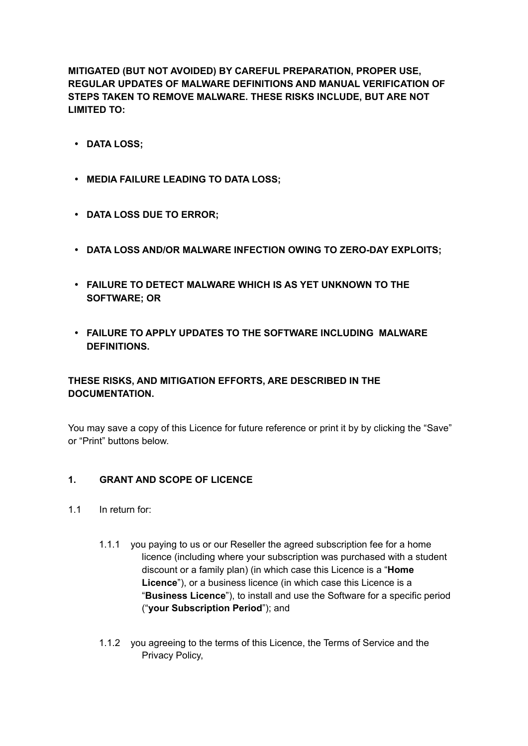**MITIGATED (BUT NOT AVOIDED) BY CAREFUL PREPARATION, PROPER USE, REGULAR UPDATES OF MALWARE DEFINITIONS AND MANUAL VERIFICATION OF STEPS TAKEN TO REMOVE MALWARE. THESE RISKS INCLUDE, BUT ARE NOT LIMITED TO:**

- **DATA LOSS;**
- **MEDIA FAILURE LEADING TO DATA LOSS;**
- **DATA LOSS DUE TO ERROR;**
- **DATA LOSS AND/OR MALWARE INFECTION OWING TO ZERO-DAY EXPLOITS;**
- **FAILURE TO DETECT MALWARE WHICH IS AS YET UNKNOWN TO THE SOFTWARE; OR**
- **FAILURE TO APPLY UPDATES TO THE SOFTWARE INCLUDING MALWARE DEFINITIONS.**

# **THESE RISKS, AND MITIGATION EFFORTS, ARE DESCRIBED IN THE DOCUMENTATION.**

You may save a copy of this Licence for future reference or print it by by clicking the "Save" or "Print" buttons below.

#### **1. GRANT AND SCOPE OF LICENCE**

- 1.1 In return for:
	- 1.1.1 you paying to us or our Reseller the agreed subscription fee for a home licence (including where your subscription was purchased with a student discount or a family plan) (in which case this Licence is a "**Home Licence**"), or a business licence (in which case this Licence is a "**Business Licence**"), to install and use the Software for a specific period ("**your Subscription Period**"); and
	- 1.1.2 you agreeing to the terms of this Licence, the Terms of Service and the Privacy Policy,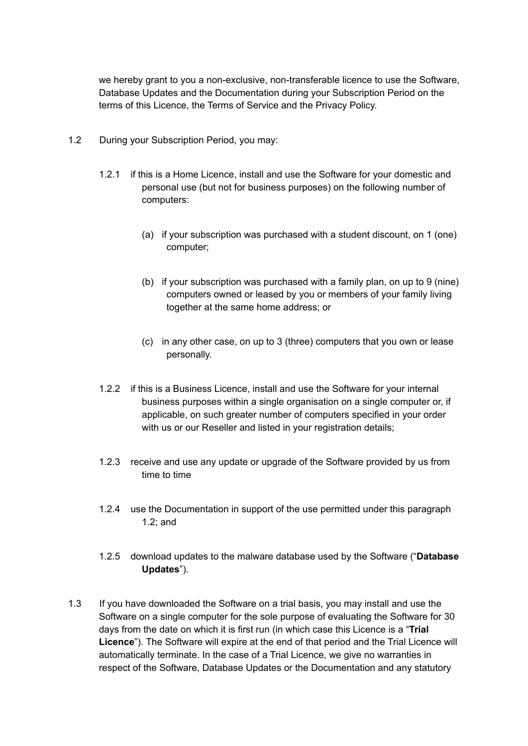we hereby grant to you a non-exclusive, non-transferable licence to use the Software, Database Updates and the Documentation during your Subscription Period on the terms of this Licence, the Terms of Service and the Privacy Policy.

- 1.2 During your Subscription Period, you may:
	- 1.2.1 if this is a Home Licence, install and use the Software for your domestic and personal use (but not for business purposes) on the following number of computers:
		- (a) if your subscription was purchased with a student discount, on 1 (one) computer;
		- (b) if your subscription was purchased with a family plan, on up to 9 (nine) computers owned or leased by you or members of your family living together at the same home address; or
		- (c) in any other case, on up to 3 (three) computers that you own or lease personally.
	- 1.2.2 if this is a Business Licence, install and use the Software for your internal business purposes within a single organisation on a single computer or, if applicable, on such greater number of computers specified in your order with us or our Reseller and listed in your registration details;
	- 1.2.3 receive and use any update or upgrade of the Software provided by us from time to time
	- 1.2.4 use the Documentation in support of the use permitted under this paragraph 1.2; and
	- 1.2.5 download updates to the malware database used by the Software ("**Database Updates**").
- 1.3 If you have downloaded the Software on a trial basis, you may install and use the Software on a single computer for the sole purpose of evaluating the Software for 30 days from the date on which it is first run (in which case this Licence is a "**Trial Licence**"). The Software will expire at the end of that period and the Trial Licence will automatically terminate. In the case of a Trial Licence, we give no warranties in respect of the Software, Database Updates or the Documentation and any statutory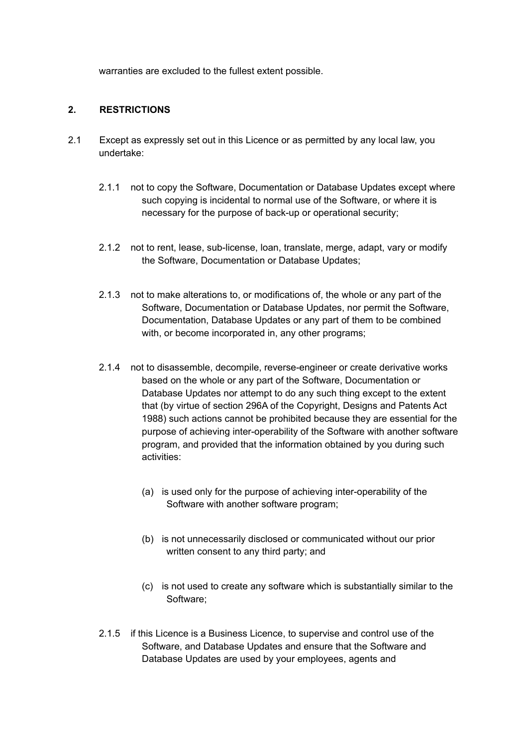warranties are excluded to the fullest extent possible.

### **2. RESTRICTIONS**

- 2.1 Except as expressly set out in this Licence or as permitted by any local law, you undertake:
	- 2.1.1 not to copy the Software, Documentation or Database Updates except where such copying is incidental to normal use of the Software, or where it is necessary for the purpose of back-up or operational security;
	- 2.1.2 not to rent, lease, sub-license, loan, translate, merge, adapt, vary or modify the Software, Documentation or Database Updates;
	- 2.1.3 not to make alterations to, or modifications of, the whole or any part of the Software, Documentation or Database Updates, nor permit the Software, Documentation, Database Updates or any part of them to be combined with, or become incorporated in, any other programs;
	- 2.1.4 not to disassemble, decompile, reverse-engineer or create derivative works based on the whole or any part of the Software, Documentation or Database Updates nor attempt to do any such thing except to the extent that (by virtue of section 296A of the Copyright, Designs and Patents Act 1988) such actions cannot be prohibited because they are essential for the purpose of achieving inter-operability of the Software with another software program, and provided that the information obtained by you during such activities:
		- (a) is used only for the purpose of achieving inter-operability of the Software with another software program;
		- (b) is not unnecessarily disclosed or communicated without our prior written consent to any third party; and
		- (c) is not used to create any software which is substantially similar to the Software;
	- 2.1.5 if this Licence is a Business Licence, to supervise and control use of the Software, and Database Updates and ensure that the Software and Database Updates are used by your employees, agents and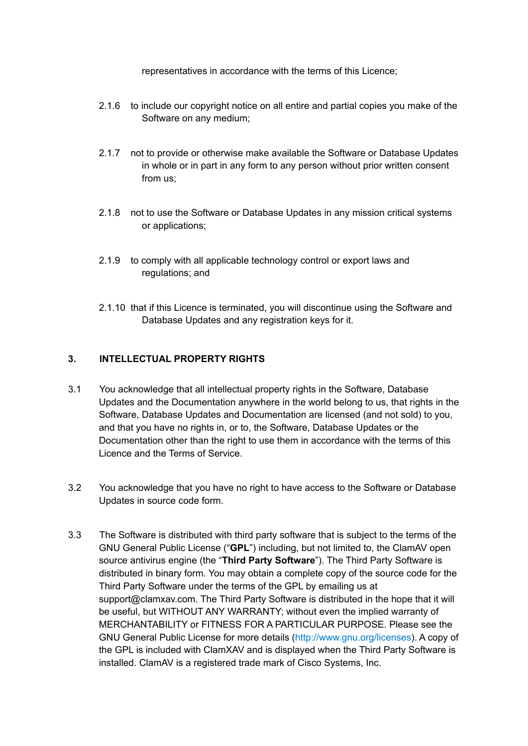representatives in accordance with the terms of this Licence;

- 2.1.6 to include our copyright notice on all entire and partial copies you make of the Software on any medium;
- 2.1.7 not to provide or otherwise make available the Software or Database Updates in whole or in part in any form to any person without prior written consent from us;
- 2.1.8 not to use the Software or Database Updates in any mission critical systems or applications;
- 2.1.9 to comply with all applicable technology control or export laws and regulations; and
- 2.1.10 that if this Licence is terminated, you will discontinue using the Software and Database Updates and any registration keys for it.

## **3. INTELLECTUAL PROPERTY RIGHTS**

- 3.1 You acknowledge that all intellectual property rights in the Software, Database Updates and the Documentation anywhere in the world belong to us, that rights in the Software, Database Updates and Documentation are licensed (and not sold) to you, and that you have no rights in, or to, the Software, Database Updates or the Documentation other than the right to use them in accordance with the terms of this Licence and the Terms of Service.
- 3.2 You acknowledge that you have no right to have access to the Software or Database Updates in source code form.
- 3.3 The Software is distributed with third party software that is subject to the terms of the GNU General Public License ("**GPL**") including, but not limited to, the ClamAV open source antivirus engine (the "**Third Party Software**"). The Third Party Software is distributed in binary form. You may obtain a complete copy of the source code for the Third Party Software under the terms of the GPL by emailing us at support@clamxav.com. The Third Party Software is distributed in the hope that it will be useful, but WITHOUT ANY WARRANTY; without even the implied warranty of MERCHANTABILITY or FITNESS FOR A PARTICULAR PURPOSE. Please see the GNU General Public License for more details (http://www.gnu.org/licenses). A copy of the GPL is included with ClamXAV and is displayed when the Third Party Software is installed. ClamAV is a registered trade mark of Cisco Systems, Inc.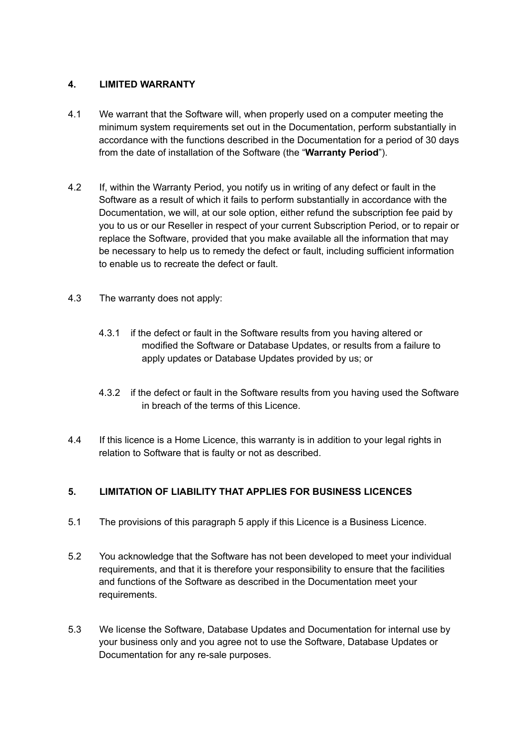## **4. LIMITED WARRANTY**

- 4.1 We warrant that the Software will, when properly used on a computer meeting the minimum system requirements set out in the Documentation, perform substantially in accordance with the functions described in the Documentation for a period of 30 days from the date of installation of the Software (the "**Warranty Period**").
- 4.2 If, within the Warranty Period, you notify us in writing of any defect or fault in the Software as a result of which it fails to perform substantially in accordance with the Documentation, we will, at our sole option, either refund the subscription fee paid by you to us or our Reseller in respect of your current Subscription Period, or to repair or replace the Software, provided that you make available all the information that may be necessary to help us to remedy the defect or fault, including sufficient information to enable us to recreate the defect or fault.
- 4.3 The warranty does not apply:
	- 4.3.1 if the defect or fault in the Software results from you having altered or modified the Software or Database Updates, or results from a failure to apply updates or Database Updates provided by us; or
	- 4.3.2 if the defect or fault in the Software results from you having used the Software in breach of the terms of this Licence.
- 4.4 If this licence is a Home Licence, this warranty is in addition to your legal rights in relation to Software that is faulty or not as described.

# **5. LIMITATION OF LIABILITY THAT APPLIES FOR BUSINESS LICENCES**

- 5.1 The provisions of this paragraph 5 apply if this Licence is a Business Licence.
- 5.2 You acknowledge that the Software has not been developed to meet your individual requirements, and that it is therefore your responsibility to ensure that the facilities and functions of the Software as described in the Documentation meet your requirements.
- 5.3 We license the Software, Database Updates and Documentation for internal use by your business only and you agree not to use the Software, Database Updates or Documentation for any re-sale purposes.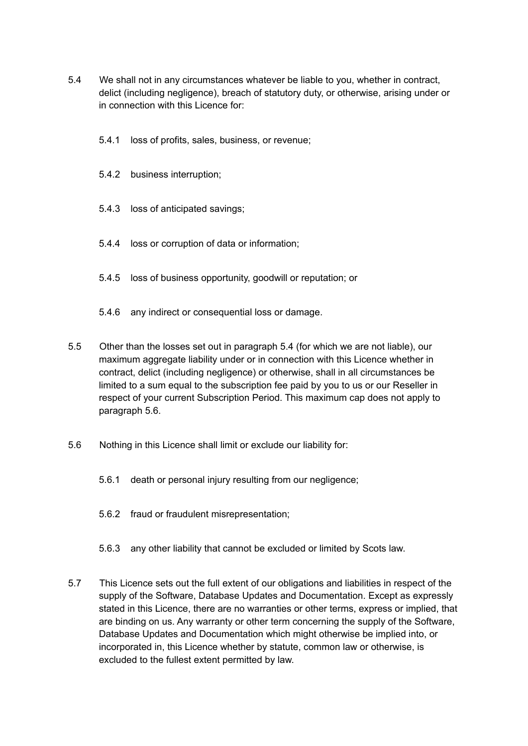- 5.4 We shall not in any circumstances whatever be liable to you, whether in contract, delict (including negligence), breach of statutory duty, or otherwise, arising under or in connection with this Licence for:
	- 5.4.1 loss of profits, sales, business, or revenue;
	- 5.4.2 business interruption;
	- 5.4.3 loss of anticipated savings;
	- 5.4.4 loss or corruption of data or information;
	- 5.4.5 loss of business opportunity, goodwill or reputation; or
	- 5.4.6 any indirect or consequential loss or damage.
- 5.5 Other than the losses set out in paragraph 5.4 (for which we are not liable), our maximum aggregate liability under or in connection with this Licence whether in contract, delict (including negligence) or otherwise, shall in all circumstances be limited to a sum equal to the subscription fee paid by you to us or our Reseller in respect of your current Subscription Period. This maximum cap does not apply to paragraph 5.6.
- 5.6 Nothing in this Licence shall limit or exclude our liability for:
	- 5.6.1 death or personal injury resulting from our negligence;
	- 5.6.2 fraud or fraudulent misrepresentation;
	- 5.6.3 any other liability that cannot be excluded or limited by Scots law.
- 5.7 This Licence sets out the full extent of our obligations and liabilities in respect of the supply of the Software, Database Updates and Documentation. Except as expressly stated in this Licence, there are no warranties or other terms, express or implied, that are binding on us. Any warranty or other term concerning the supply of the Software, Database Updates and Documentation which might otherwise be implied into, or incorporated in, this Licence whether by statute, common law or otherwise, is excluded to the fullest extent permitted by law.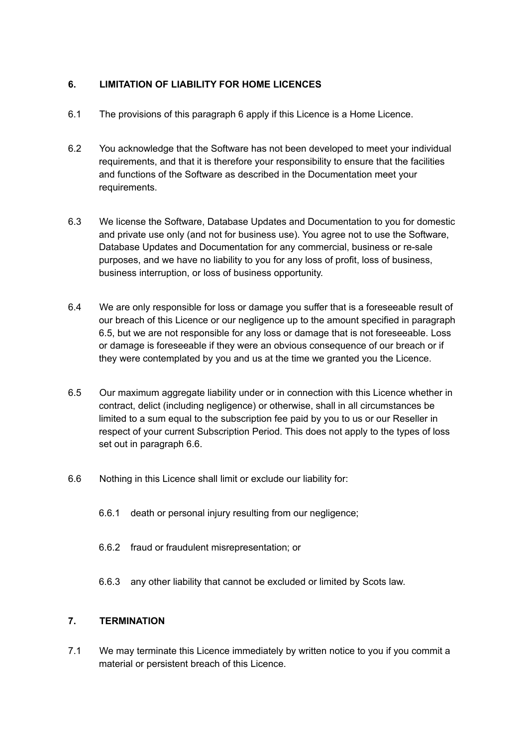# **6. LIMITATION OF LIABILITY FOR HOME LICENCES**

- 6.1 The provisions of this paragraph 6 apply if this Licence is a Home Licence.
- 6.2 You acknowledge that the Software has not been developed to meet your individual requirements, and that it is therefore your responsibility to ensure that the facilities and functions of the Software as described in the Documentation meet your requirements.
- 6.3 We license the Software, Database Updates and Documentation to you for domestic and private use only (and not for business use). You agree not to use the Software, Database Updates and Documentation for any commercial, business or re-sale purposes, and we have no liability to you for any loss of profit, loss of business, business interruption, or loss of business opportunity.
- 6.4 We are only responsible for loss or damage you suffer that is a foreseeable result of our breach of this Licence or our negligence up to the amount specified in paragraph 6.5, but we are not responsible for any loss or damage that is not foreseeable. Loss or damage is foreseeable if they were an obvious consequence of our breach or if they were contemplated by you and us at the time we granted you the Licence.
- 6.5 Our maximum aggregate liability under or in connection with this Licence whether in contract, delict (including negligence) or otherwise, shall in all circumstances be limited to a sum equal to the subscription fee paid by you to us or our Reseller in respect of your current Subscription Period. This does not apply to the types of loss set out in paragraph 6.6.
- 6.6 Nothing in this Licence shall limit or exclude our liability for:
	- 6.6.1 death or personal injury resulting from our negligence;
	- 6.6.2 fraud or fraudulent misrepresentation; or
	- 6.6.3 any other liability that cannot be excluded or limited by Scots law.

# **7. TERMINATION**

7.1 We may terminate this Licence immediately by written notice to you if you commit a material or persistent breach of this Licence.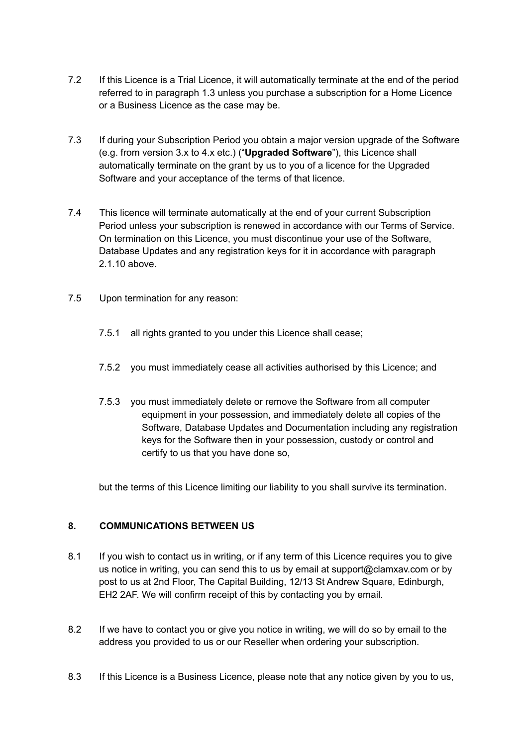- 7.2 If this Licence is a Trial Licence, it will automatically terminate at the end of the period referred to in paragraph 1.3 unless you purchase a subscription for a Home Licence or a Business Licence as the case may be.
- 7.3 If during your Subscription Period you obtain a major version upgrade of the Software (e.g. from version 3.x to 4.x etc.) ("**Upgraded Software**"), this Licence shall automatically terminate on the grant by us to you of a licence for the Upgraded Software and your acceptance of the terms of that licence.
- 7.4 This licence will terminate automatically at the end of your current Subscription Period unless your subscription is renewed in accordance with our Terms of Service. On termination on this Licence, you must discontinue your use of the Software, Database Updates and any registration keys for it in accordance with paragraph 2.1.10 above.
- 7.5 Upon termination for any reason:
	- 7.5.1 all rights granted to you under this Licence shall cease;
	- 7.5.2 you must immediately cease all activities authorised by this Licence; and
	- 7.5.3 you must immediately delete or remove the Software from all computer equipment in your possession, and immediately delete all copies of the Software, Database Updates and Documentation including any registration keys for the Software then in your possession, custody or control and certify to us that you have done so,

but the terms of this Licence limiting our liability to you shall survive its termination.

#### **8. COMMUNICATIONS BETWEEN US**

- 8.1 If you wish to contact us in writing, or if any term of this Licence requires you to give us notice in writing, you can send this to us by email at support@clamxav.com or by post to us at 2nd Floor, The Capital Building, 12/13 St Andrew Square, Edinburgh, EH2 2AF. We will confirm receipt of this by contacting you by email.
- 8.2 If we have to contact you or give you notice in writing, we will do so by email to the address you provided to us or our Reseller when ordering your subscription.
- 8.3 If this Licence is a Business Licence, please note that any notice given by you to us,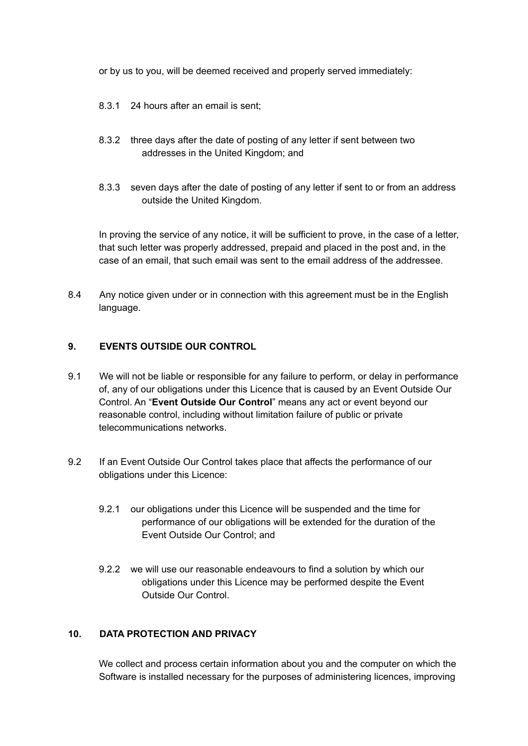or by us to you, will be deemed received and properly served immediately:

- 8.3.1 24 hours after an email is sent;
- 8.3.2 three days after the date of posting of any letter if sent between two addresses in the United Kingdom; and
- 8.3.3 seven days after the date of posting of any letter if sent to or from an address outside the United Kingdom.

In proving the service of any notice, it will be sufficient to prove, in the case of a letter, that such letter was properly addressed, prepaid and placed in the post and, in the case of an email, that such email was sent to the email address of the addressee.

8.4 Any notice given under or in connection with this agreement must be in the English language.

#### **9. EVENTS OUTSIDE OUR CONTROL**

- 9.1 We will not be liable or responsible for any failure to perform, or delay in performance of, any of our obligations under this Licence that is caused by an Event Outside Our Control. An "**Event Outside Our Control**" means any act or event beyond our reasonable control, including without limitation failure of public or private telecommunications networks.
- 9.2 If an Event Outside Our Control takes place that affects the performance of our obligations under this Licence:
	- 9.2.1 our obligations under this Licence will be suspended and the time for performance of our obligations will be extended for the duration of the Event Outside Our Control; and
	- 9.2.2 we will use our reasonable endeavours to find a solution by which our obligations under this Licence may be performed despite the Event Outside Our Control.

#### **10. DATA PROTECTION AND PRIVACY**

We collect and process certain information about you and the computer on which the Software is installed necessary for the purposes of administering licences, improving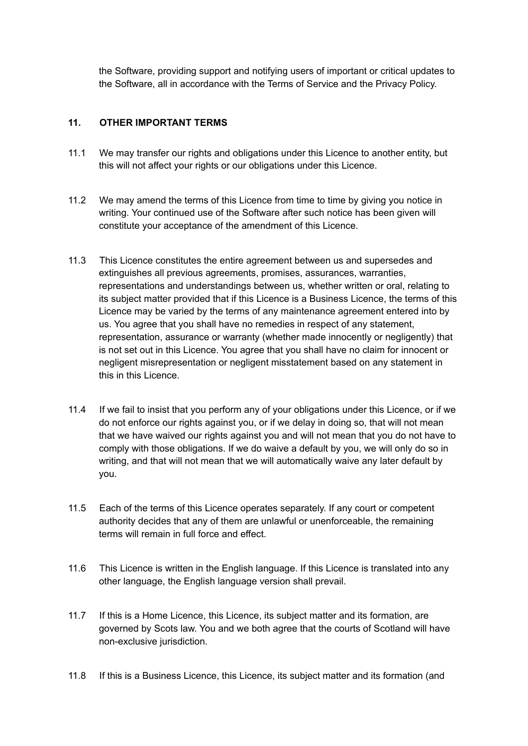the Software, providing support and notifying users of important or critical updates to the Software, all in accordance with the Terms of Service and the Privacy Policy.

## **11. OTHER IMPORTANT TERMS**

- 11.1 We may transfer our rights and obligations under this Licence to another entity, but this will not affect your rights or our obligations under this Licence.
- 11.2 We may amend the terms of this Licence from time to time by giving you notice in writing. Your continued use of the Software after such notice has been given will constitute your acceptance of the amendment of this Licence.
- 11.3 This Licence constitutes the entire agreement between us and supersedes and extinguishes all previous agreements, promises, assurances, warranties, representations and understandings between us, whether written or oral, relating to its subject matter provided that if this Licence is a Business Licence, the terms of this Licence may be varied by the terms of any maintenance agreement entered into by us. You agree that you shall have no remedies in respect of any statement, representation, assurance or warranty (whether made innocently or negligently) that is not set out in this Licence. You agree that you shall have no claim for innocent or negligent misrepresentation or negligent misstatement based on any statement in this in this Licence.
- 11.4 If we fail to insist that you perform any of your obligations under this Licence, or if we do not enforce our rights against you, or if we delay in doing so, that will not mean that we have waived our rights against you and will not mean that you do not have to comply with those obligations. If we do waive a default by you, we will only do so in writing, and that will not mean that we will automatically waive any later default by you.
- 11.5 Each of the terms of this Licence operates separately. If any court or competent authority decides that any of them are unlawful or unenforceable, the remaining terms will remain in full force and effect.
- 11.6 This Licence is written in the English language. If this Licence is translated into any other language, the English language version shall prevail.
- 11.7 If this is a Home Licence, this Licence, its subject matter and its formation, are governed by Scots law. You and we both agree that the courts of Scotland will have non-exclusive jurisdiction.
- 11.8 If this is a Business Licence, this Licence, its subject matter and its formation (and